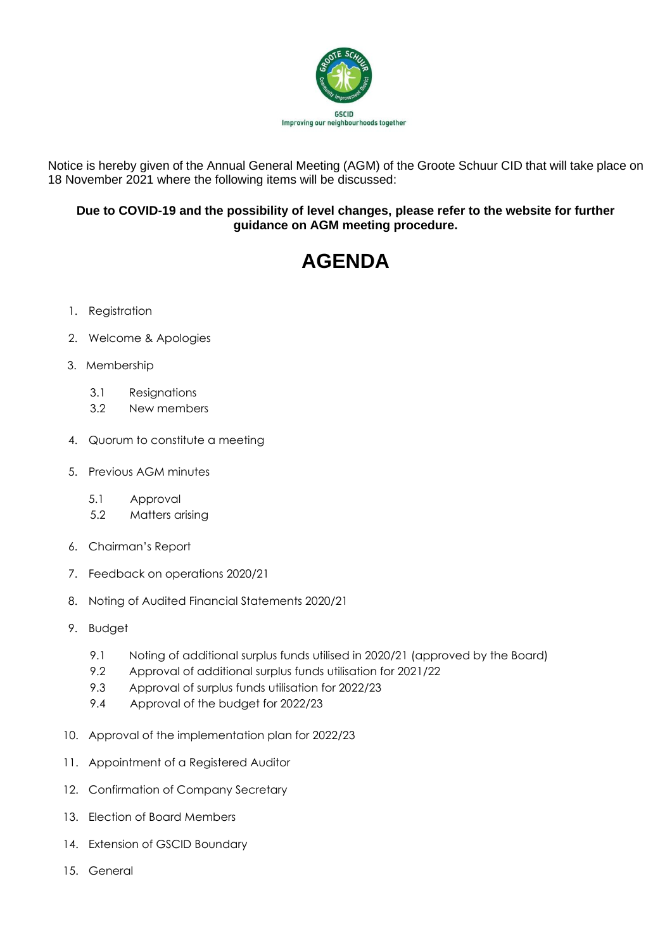

Notice is hereby given of the Annual General Meeting (AGM) of the Groote Schuur CID that will take place on 18 November 2021 where the following items will be discussed:

## **Due to COVID-19 and the possibility of level changes, please refer to the website for further guidance on AGM meeting procedure.**

## **AGENDA**

- 1. Registration
- 2. Welcome & Apologies
- 3. Membership
	- 3.1 Resignations
	- 3.2 New members
- 4. Quorum to constitute a meeting
- 5. Previous AGM minutes
	- 5.1 Approval
	- 5.2 Matters arising
- 6. Chairman's Report
- 7. Feedback on operations 2020/21
- 8. Noting of Audited Financial Statements 2020/21
- 9. Budget
	- 9.1 Noting of additional surplus funds utilised in 2020/21 (approved by the Board)
	- 9.2 Approval of additional surplus funds utilisation for 2021/22
	- 9.3 Approval of surplus funds utilisation for 2022/23
	- 9.4 Approval of the budget for 2022/23
- 10. Approval of the implementation plan for 2022/23
- 11. Appointment of a Registered Auditor
- 12. Confirmation of Company Secretary
- 13. Election of Board Members
- 14. Extension of GSCID Boundary
- 15. General